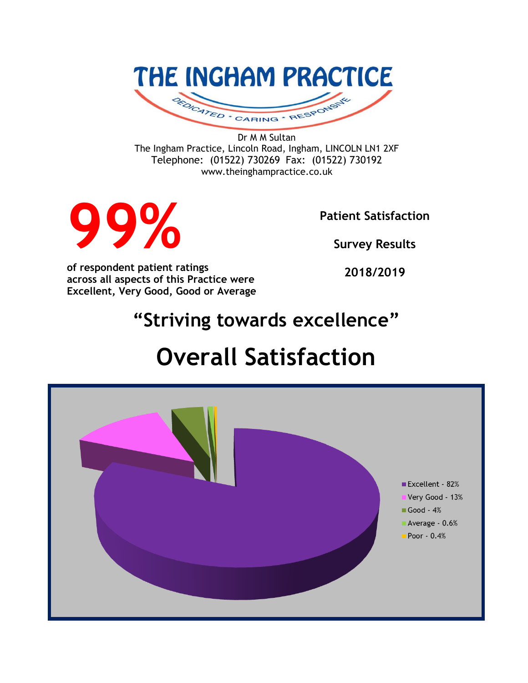

Dr M M Sultan The Ingham Practice, Lincoln Road, Ingham, LINCOLN LN1 2XF Telephone: (01522) 730269 Fax: (01522) 730192 www.theinghampractice.co.uk



**Patient Satisfaction** 

**Survey Results**

**of respondent patient ratings across all aspects of this Practice were Excellent, Very Good, Good or Average**

**2018/2019**

## **"Striving towards excellence"**

# **Overall Satisfaction**

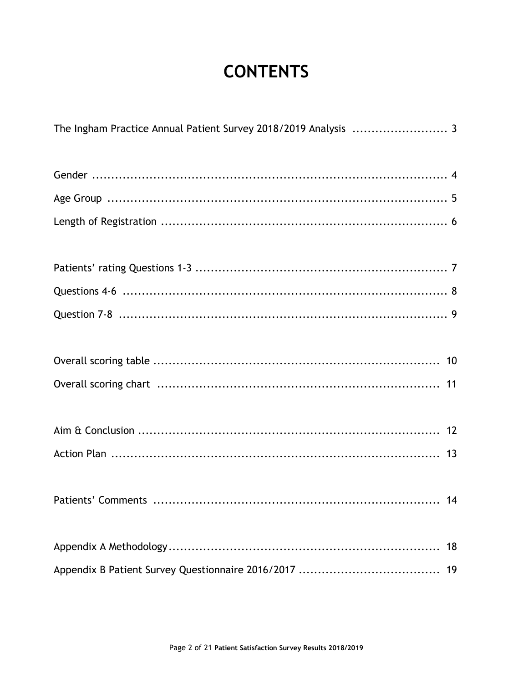## **CONTENTS**

| The Ingham Practice Annual Patient Survey 2018/2019 Analysis  3 |    |
|-----------------------------------------------------------------|----|
|                                                                 |    |
|                                                                 |    |
|                                                                 |    |
|                                                                 |    |
|                                                                 |    |
|                                                                 |    |
|                                                                 |    |
|                                                                 |    |
|                                                                 |    |
|                                                                 |    |
|                                                                 |    |
|                                                                 | 18 |
|                                                                 | 19 |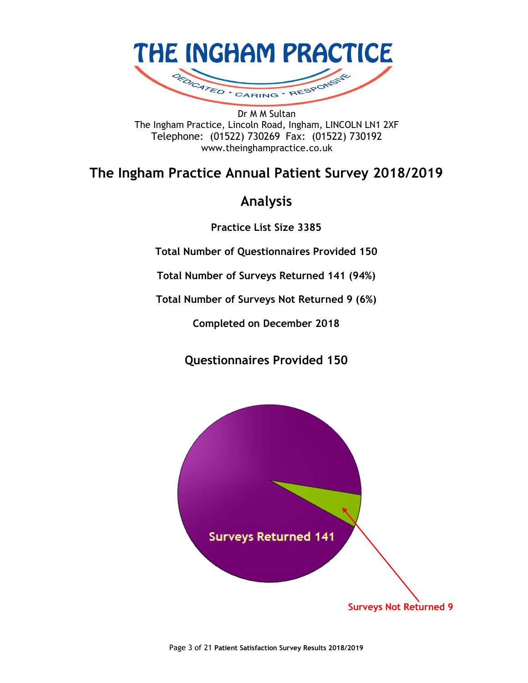

Dr M M Sultan The Ingham Practice, Lincoln Road, Ingham, LINCOLN LN1 2XF Telephone: (01522) 730269 Fax: (01522) 730192 www.theinghampractice.co.uk

## **The Ingham Practice Annual Patient Survey 2018/2019**

## **Analysis**

**Practice List Size 3385**

**Total Number of Questionnaires Provided 150**

**Total Number of Surveys Returned 141 (94%)**

**Total Number of Surveys Not Returned 9 (6%)**

**Completed on December 2018**

**Questionnaires Provided 150**

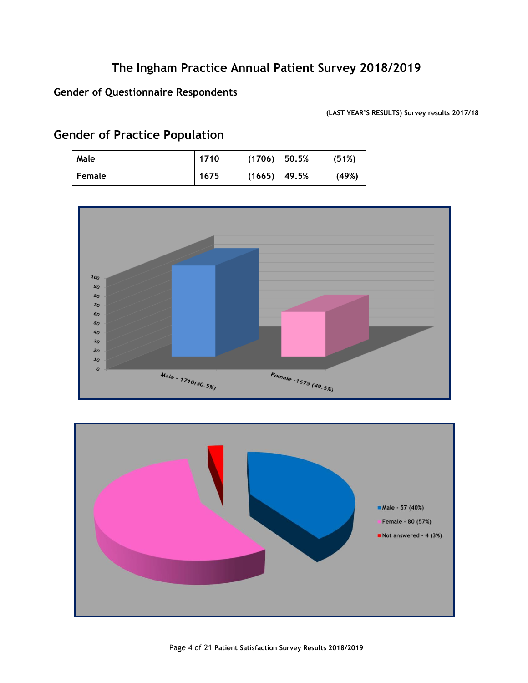#### **Gender of Questionnaire Respondents**

**(LAST YEAR'S RESULTS) Survey results 2017/18**

## **Gender of Practice Population**

| Male   | 1710 | (1706)           | 50.5% | (51%) |
|--------|------|------------------|-------|-------|
| Female | 1675 | $(1665)$   49.5% |       | (49%) |



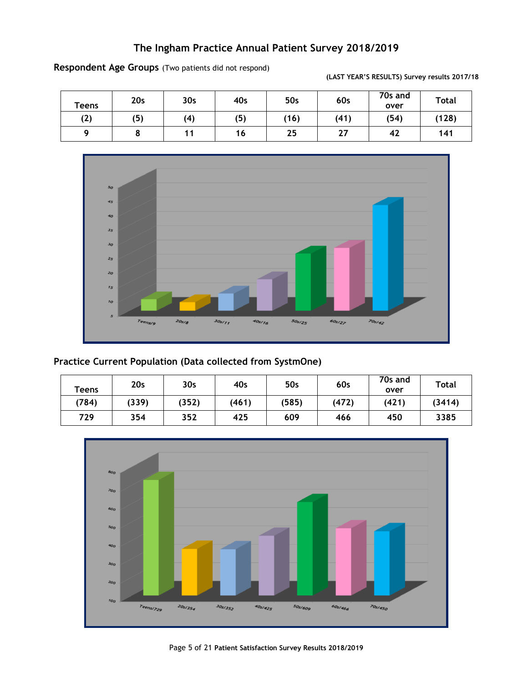| Teens | 20s | 30 <sub>s</sub> | 40s | 50s  | 60s  | 70s and<br>over | <b>Total</b> |
|-------|-----|-----------------|-----|------|------|-----------------|--------------|
| (2)   | (5) | (4)             | (5) | (16) | (41) | (54)            | (128)        |
|       | о   |                 | 16  | 25   | 27   | 42              | 141          |

**Respondent Age Groups** (Two patients did not respond)



#### **Practice Current Population (Data collected from SystmOne)**

| <b>Teens</b> | 20 <sub>s</sub> | 30 <sub>s</sub> | 40s   | 50s   | 60s   | 70s and<br>over | <b>Total</b> |
|--------------|-----------------|-----------------|-------|-------|-------|-----------------|--------------|
| (784)        | (339)           | (352)           | (461) | (585) | (472) | (421)           | (3414)       |
| 729          | 354             | 352             | 425   | 609   | 466   | 450             | 3385         |



**(LAST YEAR'S RESULTS) Survey results 2017/18**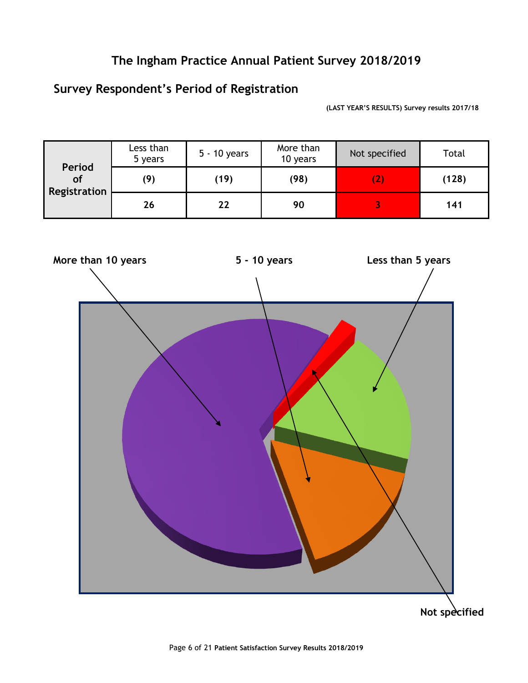## **Survey Respondent's Period of Registration**

**(LAST YEAR'S RESULTS) Survey results 2017/18**

| Period       | Less than<br>5 years | 5 - 10 years | More than<br>10 years | Not specified   | Total |
|--------------|----------------------|--------------|-----------------------|-----------------|-------|
| of           | (9)                  | (19)         | (98)                  | $\vert$ $\vert$ | (128) |
| Registration | 26                   | 22           | 90                    |                 | 141   |



**Not specified**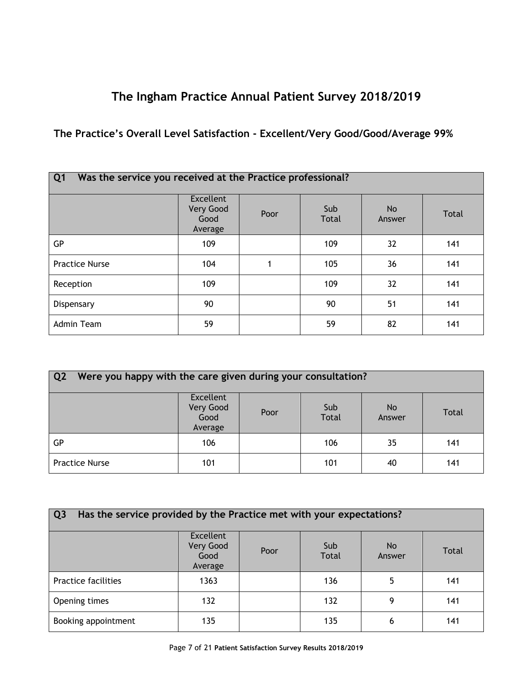### **The Practice's Overall Level Satisfaction - Excellent/Very Good/Good/Average 99%**

| Was the service you received at the Practice professional?<br>Q <sub>1</sub> |                                           |      |                     |              |       |
|------------------------------------------------------------------------------|-------------------------------------------|------|---------------------|--------------|-------|
|                                                                              | Excellent<br>Very Good<br>Good<br>Average | Poor | Sub<br><b>Total</b> | No<br>Answer | Total |
| GP                                                                           | 109                                       |      | 109                 | 32           | 141   |
| <b>Practice Nurse</b>                                                        | 104                                       |      | 105                 | 36           | 141   |
| Reception                                                                    | 109                                       |      | 109                 | 32           | 141   |
| Dispensary                                                                   | 90                                        |      | 90                  | 51           | 141   |
| Admin Team                                                                   | 59                                        |      | 59                  | 82           | 141   |

| $\overline{Q}$<br>Were you happy with the care given during your consultation? |                                                  |      |                     |                     |              |  |
|--------------------------------------------------------------------------------|--------------------------------------------------|------|---------------------|---------------------|--------------|--|
|                                                                                | <b>Excellent</b><br>Very Good<br>Good<br>Average | Poor | Sub<br><b>Total</b> | <b>No</b><br>Answer | <b>Total</b> |  |
| GP                                                                             | 106                                              |      | 106                 | 35                  | 141          |  |
| <b>Practice Nurse</b>                                                          | 101                                              |      | 101                 | 40                  | 141          |  |

| Has the service provided by the Practice met with your expectations?<br>Q <sub>3</sub> |                                                  |      |                     |               |              |  |
|----------------------------------------------------------------------------------------|--------------------------------------------------|------|---------------------|---------------|--------------|--|
|                                                                                        | <b>Excellent</b><br>Very Good<br>Good<br>Average | Poor | Sub<br><b>Total</b> | No.<br>Answer | <b>Total</b> |  |
| <b>Practice facilities</b>                                                             | 1363                                             |      | 136                 | 5             | 141          |  |
| Opening times                                                                          | 132                                              |      | 132                 | 9             | 141          |  |
| Booking appointment                                                                    | 135                                              |      | 135                 | 6             | 141          |  |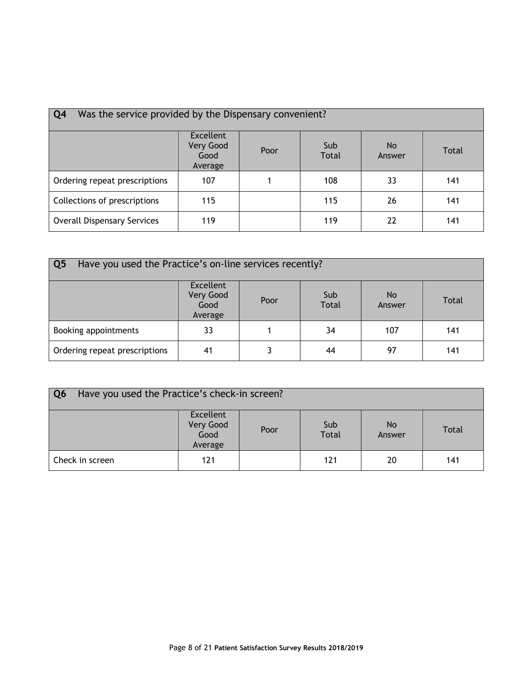| Was the service provided by the Dispensary convenient?<br>Q <sub>4</sub> |                                                  |      |                     |                     |              |
|--------------------------------------------------------------------------|--------------------------------------------------|------|---------------------|---------------------|--------------|
|                                                                          | <b>Excellent</b><br>Very Good<br>Good<br>Average | Poor | Sub<br><b>Total</b> | <b>No</b><br>Answer | <b>Total</b> |
| Ordering repeat prescriptions                                            | 107                                              |      | 108                 | 33                  | 141          |
| Collections of prescriptions                                             | 115                                              |      | 115                 | 26                  | 141          |
| <b>Overall Dispensary Services</b>                                       | 119                                              |      | 119                 | 22                  | 141          |

| Q <sub>5</sub><br>Have you used the Practice's on-line services recently? |                                                  |      |                     |               |       |
|---------------------------------------------------------------------------|--------------------------------------------------|------|---------------------|---------------|-------|
|                                                                           | <b>Excellent</b><br>Very Good<br>Good<br>Average | Poor | Sub<br><b>Total</b> | No.<br>Answer | Total |
| Booking appointments                                                      | 33                                               |      | 34                  | 107           | 141   |
| Ordering repeat prescriptions                                             | 41                                               |      | 44                  | 97            | 141   |

| Q <sub>6</sub><br>Have you used the Practice's check-in screen? |                                                  |      |                     |               |       |
|-----------------------------------------------------------------|--------------------------------------------------|------|---------------------|---------------|-------|
|                                                                 | <b>Excellent</b><br>Very Good<br>Good<br>Average | Poor | Sub<br><b>Total</b> | No.<br>Answer | Total |
| Check in screen                                                 | 121                                              |      | 121                 | 20            | 141   |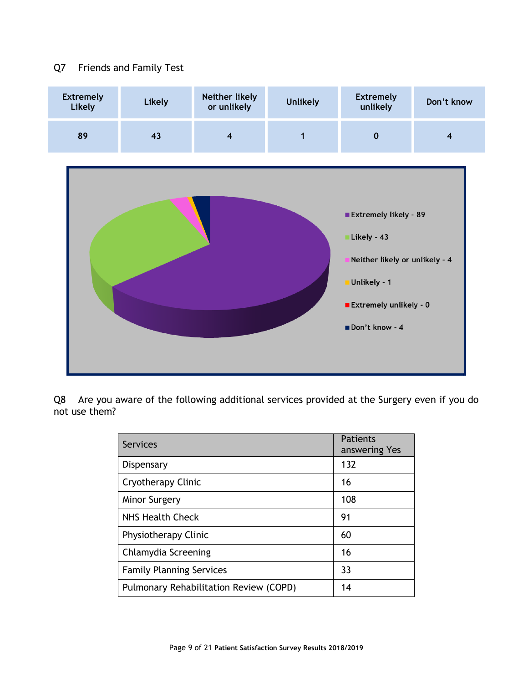#### Q7 Friends and Family Test



Q8 Are you aware of the following additional services provided at the Surgery even if you do not use them?

| <b>Services</b>                               | Patients<br>answering Yes |
|-----------------------------------------------|---------------------------|
| Dispensary                                    | 132                       |
| Cryotherapy Clinic                            | 16                        |
| Minor Surgery                                 | 108                       |
| NHS Health Check                              | 91                        |
| Physiotherapy Clinic                          | 60                        |
| Chlamydia Screening                           | 16                        |
| <b>Family Planning Services</b>               | 33                        |
| <b>Pulmonary Rehabilitation Review (COPD)</b> | 14                        |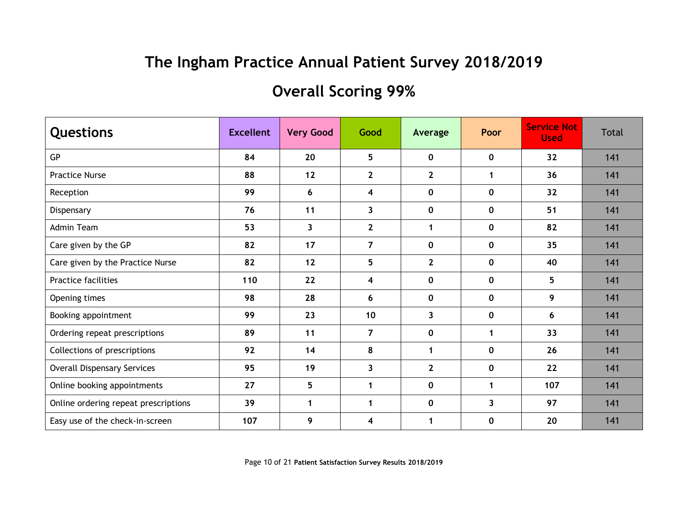## **Overall Scoring 99%**

| <b>Questions</b>                     | <b>Excellent</b> | <b>Very Good</b> | Good                    | Average        | Poor         | <b>Service Not</b><br><b>Used</b> | <b>Total</b> |
|--------------------------------------|------------------|------------------|-------------------------|----------------|--------------|-----------------------------------|--------------|
| GP                                   | 84               | 20               | 5 <sub>5</sub>          | $\mathbf 0$    | $\mathbf 0$  | 32                                | 141          |
| <b>Practice Nurse</b>                | 88               | 12               | $\overline{2}$          | $\mathbf{2}$   | $\mathbf 1$  | 36                                | 141          |
| Reception                            | 99               | 6                | 4                       | $\mathbf 0$    | $\mathbf 0$  | 32                                | 141          |
| Dispensary                           | 76               | 11               | $\mathbf{3}$            | $\mathbf 0$    | $\mathbf 0$  | 51                                | 141          |
| <b>Admin Team</b>                    | 53               | 3                | $\overline{2}$          | 1              | $\mathbf 0$  | 82                                | 141          |
| Care given by the GP                 | 82               | 17               | $\overline{7}$          | $\mathbf 0$    | $\mathbf 0$  | 35                                | 141          |
| Care given by the Practice Nurse     | 82               | 12               | 5                       | $\mathbf{2}$   | $\mathbf{0}$ | 40                                | 141          |
| <b>Practice facilities</b>           | 110              | 22               | 4                       | $\mathbf 0$    | $\mathbf 0$  | 5                                 | 141          |
| Opening times                        | 98               | 28               | 6                       | $\mathbf 0$    | $\mathbf{0}$ | 9                                 | 141          |
| Booking appointment                  | 99               | 23               | 10                      | 3              | $\mathbf 0$  | 6                                 | 141          |
| Ordering repeat prescriptions        | 89               | 11               | $\overline{7}$          | $\mathbf 0$    | $\mathbf 1$  | 33                                | 141          |
| Collections of prescriptions         | 92               | 14               | 8                       | 1              | $\mathbf 0$  | 26                                | 141          |
| <b>Overall Dispensary Services</b>   | 95               | 19               | 3                       | $\overline{2}$ | $\mathbf 0$  | 22                                | 141          |
| Online booking appointments          | 27               | 5                | $\mathbf 1$             | $\mathbf 0$    | 1            | 107                               | 141          |
| Online ordering repeat prescriptions | 39               | $\mathbf{1}$     | $\mathbf{1}$            | $\mathbf 0$    | 3            | 97                                | 141          |
| Easy use of the check-in-screen      | 107              | 9                | $\overline{\mathbf{4}}$ | 1              | $\mathbf 0$  | 20                                | 141          |

Page 10 of 21 **Patient Satisfaction Survey Results 2018/2019**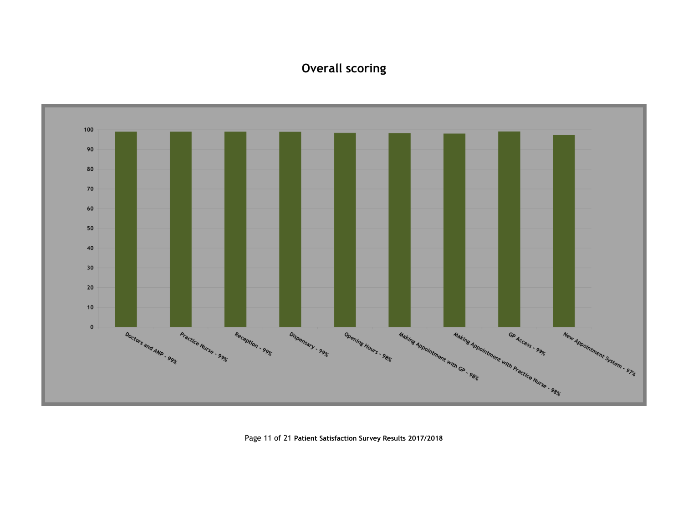## **Overall scoring**



Page 11 of 21 **Patient Satisfaction Survey Results 2017/2018**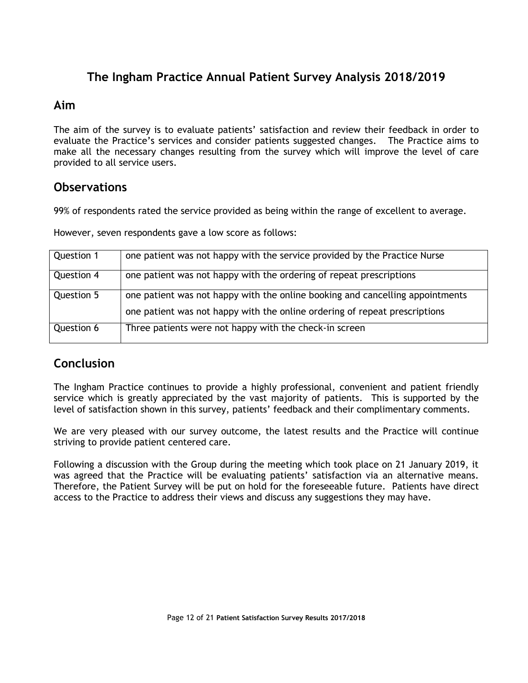#### **Aim**

The aim of the survey is to evaluate patients' satisfaction and review their feedback in order to evaluate the Practice's services and consider patients suggested changes. The Practice aims to make all the necessary changes resulting from the survey which will improve the level of care provided to all service users.

#### **Observations**

99% of respondents rated the service provided as being within the range of excellent to average.

However, seven respondents gave a low score as follows:

| Question 1 | one patient was not happy with the service provided by the Practice Nurse     |
|------------|-------------------------------------------------------------------------------|
| Question 4 | one patient was not happy with the ordering of repeat prescriptions           |
| Question 5 | one patient was not happy with the online booking and cancelling appointments |
|            | one patient was not happy with the online ordering of repeat prescriptions    |
| Question 6 | Three patients were not happy with the check-in screen                        |

#### **Conclusion**

The Ingham Practice continues to provide a highly professional, convenient and patient friendly service which is greatly appreciated by the vast majority of patients. This is supported by the level of satisfaction shown in this survey, patients' feedback and their complimentary comments.

We are very pleased with our survey outcome, the latest results and the Practice will continue striving to provide patient centered care.

Following a discussion with the Group during the meeting which took place on 21 January 2019, it was agreed that the Practice will be evaluating patients' satisfaction via an alternative means. Therefore, the Patient Survey will be put on hold for the foreseeable future. Patients have direct access to the Practice to address their views and discuss any suggestions they may have.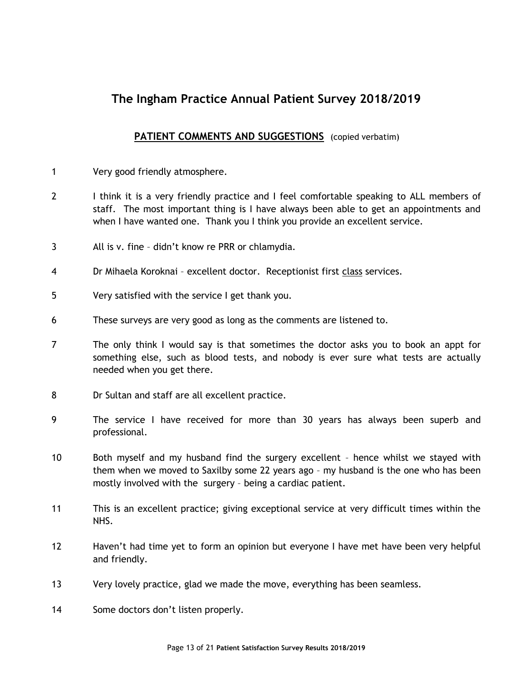#### **PATIENT COMMENTS AND SUGGESTIONS** (copied verbatim)

- 1 Very good friendly atmosphere.
- 2 I think it is a very friendly practice and I feel comfortable speaking to ALL members of staff. The most important thing is I have always been able to get an appointments and when I have wanted one. Thank you I think you provide an excellent service.
- 3 All is v. fine didn't know re PRR or chlamydia.
- 4 Dr Mihaela Koroknai excellent doctor. Receptionist first class services.
- 5 Very satisfied with the service I get thank you.
- 6 These surveys are very good as long as the comments are listened to.
- 7 The only think I would say is that sometimes the doctor asks you to book an appt for something else, such as blood tests, and nobody is ever sure what tests are actually needed when you get there.
- 8 Dr Sultan and staff are all excellent practice.
- 9 The service I have received for more than 30 years has always been superb and professional.
- 10 Both myself and my husband find the surgery excellent hence whilst we stayed with them when we moved to Saxilby some 22 years ago – my husband is the one who has been mostly involved with the surgery – being a cardiac patient.
- 11 This is an excellent practice; giving exceptional service at very difficult times within the NHS.
- 12 Haven't had time yet to form an opinion but everyone I have met have been very helpful and friendly.
- 13 Very lovely practice, glad we made the move, everything has been seamless.
- 14 Some doctors don't listen properly.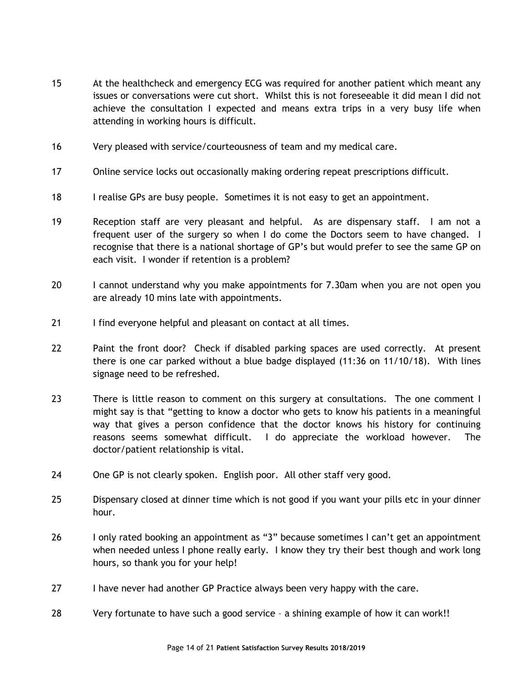- 15 At the healthcheck and emergency ECG was required for another patient which meant any issues or conversations were cut short. Whilst this is not foreseeable it did mean I did not achieve the consultation I expected and means extra trips in a very busy life when attending in working hours is difficult.
- 16 Very pleased with service/courteousness of team and my medical care.
- 17 Online service locks out occasionally making ordering repeat prescriptions difficult.
- 18 I realise GPs are busy people. Sometimes it is not easy to get an appointment.
- 19 Reception staff are very pleasant and helpful. As are dispensary staff. I am not a frequent user of the surgery so when I do come the Doctors seem to have changed. I recognise that there is a national shortage of GP's but would prefer to see the same GP on each visit. I wonder if retention is a problem?
- 20 I cannot understand why you make appointments for 7.30am when you are not open you are already 10 mins late with appointments.
- 21 I find everyone helpful and pleasant on contact at all times.
- 22 Paint the front door? Check if disabled parking spaces are used correctly. At present there is one car parked without a blue badge displayed (11:36 on 11/10/18). With lines signage need to be refreshed.
- 23 There is little reason to comment on this surgery at consultations. The one comment I might say is that "getting to know a doctor who gets to know his patients in a meaningful way that gives a person confidence that the doctor knows his history for continuing reasons seems somewhat difficult. I do appreciate the workload however. The doctor/patient relationship is vital.
- 24 One GP is not clearly spoken. English poor. All other staff very good.
- 25 Dispensary closed at dinner time which is not good if you want your pills etc in your dinner hour.
- 26 I only rated booking an appointment as "3" because sometimes I can't get an appointment when needed unless I phone really early. I know they try their best though and work long hours, so thank you for your help!
- 27 I have never had another GP Practice always been very happy with the care.
- 28 Very fortunate to have such a good service a shining example of how it can work!!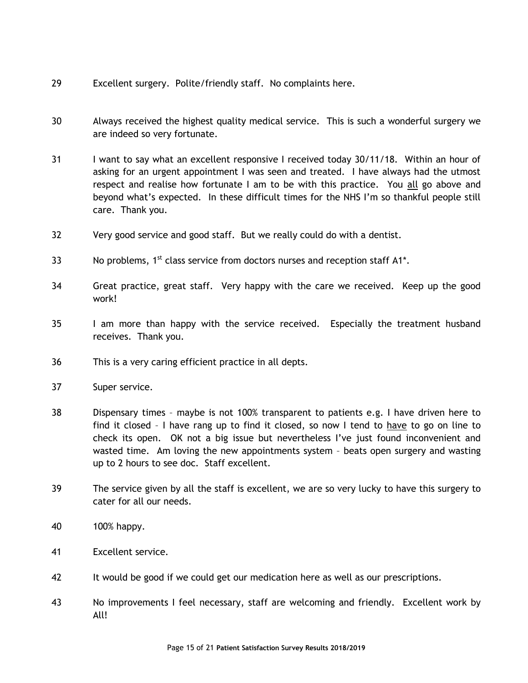- 29 Excellent surgery. Polite/friendly staff. No complaints here.
- 30 Always received the highest quality medical service. This is such a wonderful surgery we are indeed so very fortunate.
- 31 I want to say what an excellent responsive I received today 30/11/18. Within an hour of asking for an urgent appointment I was seen and treated. I have always had the utmost respect and realise how fortunate I am to be with this practice. You all go above and beyond what's expected. In these difficult times for the NHS I'm so thankful people still care. Thank you.
- 32 Very good service and good staff. But we really could do with a dentist.
- 33 No problems,  $1^{st}$  class service from doctors nurses and reception staff A1<sup>\*</sup>.
- 34 Great practice, great staff. Very happy with the care we received. Keep up the good work!
- 35 I am more than happy with the service received. Especially the treatment husband receives. Thank you.
- 36 This is a very caring efficient practice in all depts.
- 37 Super service.
- 38 Dispensary times maybe is not 100% transparent to patients e.g. I have driven here to find it closed – I have rang up to find it closed, so now I tend to have to go on line to check its open. OK not a big issue but nevertheless I've just found inconvenient and wasted time. Am loving the new appointments system – beats open surgery and wasting up to 2 hours to see doc. Staff excellent.
- 39 The service given by all the staff is excellent, we are so very lucky to have this surgery to cater for all our needs.
- 40 100% happy.
- 41 Excellent service.
- 42 It would be good if we could get our medication here as well as our prescriptions.
- 43 No improvements I feel necessary, staff are welcoming and friendly. Excellent work by All!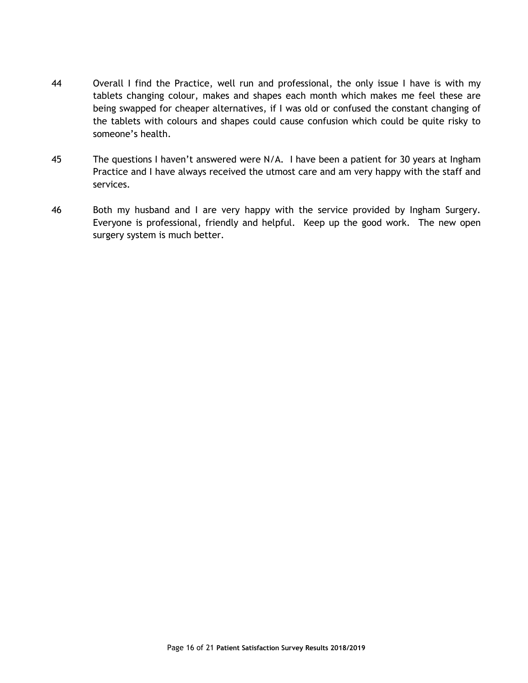- 44 Overall I find the Practice, well run and professional, the only issue I have is with my tablets changing colour, makes and shapes each month which makes me feel these are being swapped for cheaper alternatives, if I was old or confused the constant changing of the tablets with colours and shapes could cause confusion which could be quite risky to someone's health.
- 45 The questions I haven't answered were N/A. I have been a patient for 30 years at Ingham Practice and I have always received the utmost care and am very happy with the staff and services.
- 46 Both my husband and I are very happy with the service provided by Ingham Surgery. Everyone is professional, friendly and helpful. Keep up the good work. The new open surgery system is much better.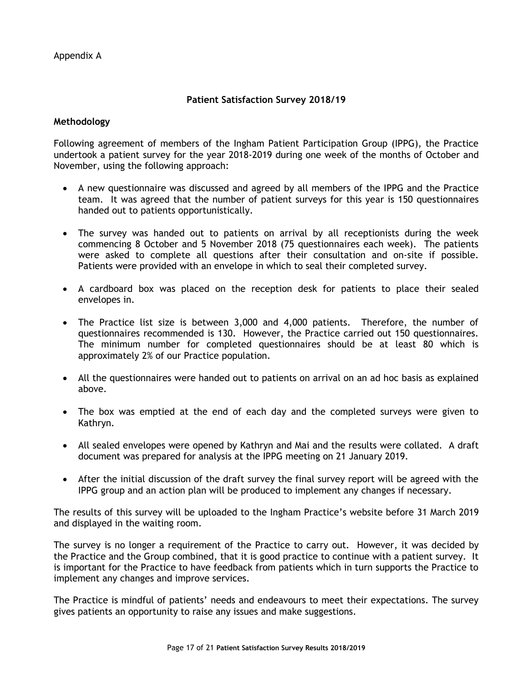Appendix A

#### **Patient Satisfaction Survey 2018/19**

#### **Methodology**

Following agreement of members of the Ingham Patient Participation Group (IPPG), the Practice undertook a patient survey for the year 2018-2019 during one week of the months of October and November, using the following approach:

- A new questionnaire was discussed and agreed by all members of the IPPG and the Practice team. It was agreed that the number of patient surveys for this year is 150 questionnaires handed out to patients opportunistically.
- The survey was handed out to patients on arrival by all receptionists during the week commencing 8 October and 5 November 2018 (75 questionnaires each week). The patients were asked to complete all questions after their consultation and on-site if possible. Patients were provided with an envelope in which to seal their completed survey.
- A cardboard box was placed on the reception desk for patients to place their sealed envelopes in.
- The Practice list size is between 3,000 and 4,000 patients. Therefore, the number of questionnaires recommended is 130. However, the Practice carried out 150 questionnaires. The minimum number for completed questionnaires should be at least 80 which is approximately 2% of our Practice population.
- All the questionnaires were handed out to patients on arrival on an ad hoc basis as explained above.
- The box was emptied at the end of each day and the completed surveys were given to Kathryn.
- All sealed envelopes were opened by Kathryn and Mai and the results were collated. A draft document was prepared for analysis at the IPPG meeting on 21 January 2019.
- After the initial discussion of the draft survey the final survey report will be agreed with the IPPG group and an action plan will be produced to implement any changes if necessary.

The results of this survey will be uploaded to the Ingham Practice's website before 31 March 2019 and displayed in the waiting room.

The survey is no longer a requirement of the Practice to carry out. However, it was decided by the Practice and the Group combined, that it is good practice to continue with a patient survey. It is important for the Practice to have feedback from patients which in turn supports the Practice to implement any changes and improve services.

The Practice is mindful of patients' needs and endeavours to meet their expectations. The survey gives patients an opportunity to raise any issues and make suggestions.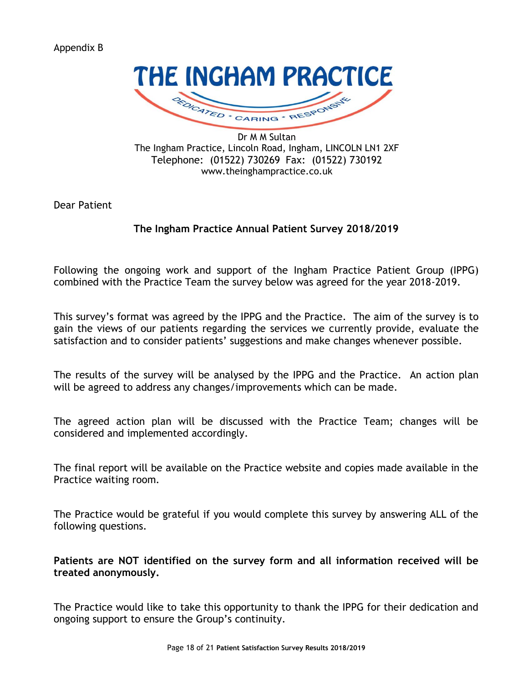#### Appendix B



Dr M M Sultan The Ingham Practice, Lincoln Road, Ingham, LINCOLN LN1 2XF Telephone: (01522) 730269 Fax: (01522) 730192 www.theinghampractice.co.uk

Dear Patient

#### **The Ingham Practice Annual Patient Survey 2018/2019**

Following the ongoing work and support of the Ingham Practice Patient Group (IPPG) combined with the Practice Team the survey below was agreed for the year 2018-2019.

This survey's format was agreed by the IPPG and the Practice. The aim of the survey is to gain the views of our patients regarding the services we currently provide, evaluate the satisfaction and to consider patients' suggestions and make changes whenever possible.

The results of the survey will be analysed by the IPPG and the Practice. An action plan will be agreed to address any changes/improvements which can be made.

The agreed action plan will be discussed with the Practice Team; changes will be considered and implemented accordingly.

The final report will be available on the Practice website and copies made available in the Practice waiting room.

The Practice would be grateful if you would complete this survey by answering ALL of the following questions.

**Patients are NOT identified on the survey form and all information received will be treated anonymously.**

The Practice would like to take this opportunity to thank the IPPG for their dedication and ongoing support to ensure the Group's continuity.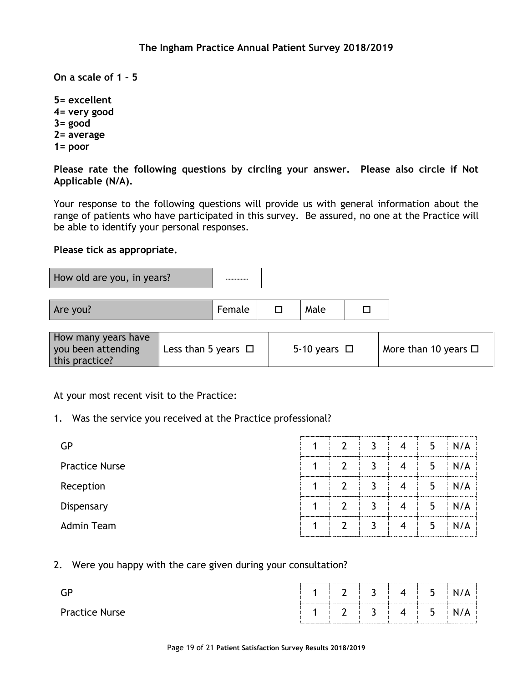**On a scale of 1 – 5** 

**5= excellent 4= very good 3= good 2= average 1= poor**

**Please rate the following questions by circling your answer. Please also circle if Not Applicable (N/A).**

Your response to the following questions will provide us with general information about the range of patients who have participated in this survey. Be assured, no one at the Practice will be able to identify your personal responses.

#### **Please tick as appropriate.**

How old are you, in years?

| Are you! | Female |  | Male |  |  |
|----------|--------|--|------|--|--|
|----------|--------|--|------|--|--|

| How many years have<br>you been attending<br>this practice? | Less than 5 years $\Box$ | 5-10 years $\Box$ | More than 10 years $\square$ |
|-------------------------------------------------------------|--------------------------|-------------------|------------------------------|
|                                                             |                          |                   |                              |

#### At your most recent visit to the Practice:

1. Was the service you received at the Practice professional?

| GP                    |   | $\mathcal{P}$ | 4 | 5 | N/A |
|-----------------------|---|---------------|---|---|-----|
| <b>Practice Nurse</b> |   | $\mathcal{P}$ | 4 | 5 | N/A |
| Reception             | и | ົາ            | 4 | 5 | N/A |
| Dispensary            |   | $\mathcal{D}$ | 4 | 5 | N/A |
| Admin Team            |   | $\mathcal{D}$ | 4 | 5 | N/A |

#### 2. Were you happy with the care given during your consultation?

|                       |  | $\mathcal{P}$                                                            | ∽<br>$\sim$ $\sim$ | 4 | 5<br>  |  |
|-----------------------|--|--------------------------------------------------------------------------|--------------------|---|--------|--|
| <b>Practice Nurse</b> |  | $\begin{array}{c ccccccccccccccccccccc}\n1 & 2 & 3 & 4 & 4\n\end{array}$ |                    |   | 5<br>ی |  |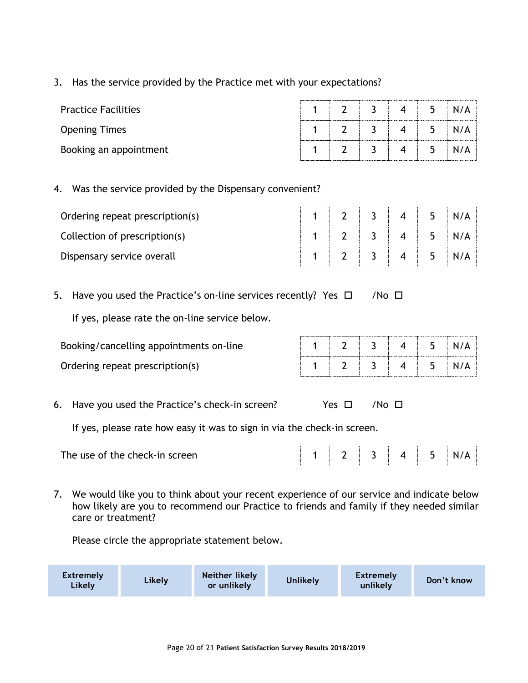#### 3. Has the service provided by the Practice met with your expectations?

| <b>Practice Facilities</b> |  | $\mathbf 4$              | 5 <sup>5</sup> |     |
|----------------------------|--|--------------------------|----------------|-----|
| <b>Opening Times</b>       |  | $\overline{4}$           | 5 <sup>5</sup> | N/A |
| Booking an appointment     |  | $\overline{\mathcal{A}}$ | 5              |     |

#### 4. Was the service provided by the Dispensary convenient?

| Ordering repeat prescription(s) |  |  | 5 |     |
|---------------------------------|--|--|---|-----|
| Collection of prescription(s)   |  |  | 5 | N/A |
| Dispensary service overall      |  |  | ל | N/A |

5. Have you used the Practice's on-line services recently? Yes  $\Box$  /No  $\Box$ 

If yes, please rate the on-line service below.

| Booking/cancelling appointments on-line |  |  | h |  |
|-----------------------------------------|--|--|---|--|
| Ordering repeat prescription(s)         |  |  |   |  |

6. Have you used the Practice's check-in screen?  $Yes \Box$  /No  $\Box$ 

If yes, please rate how easy it was to sign in via the check-in screen.

| The use of the check-in screen. |  |  |  |  |  |  |  | n. |  |
|---------------------------------|--|--|--|--|--|--|--|----|--|
|---------------------------------|--|--|--|--|--|--|--|----|--|

7. We would like you to think about your recent experience of our service and indicate below how likely are you to recommend our Practice to friends and family if they needed similar care or treatment?

Please circle the appropriate statement below.